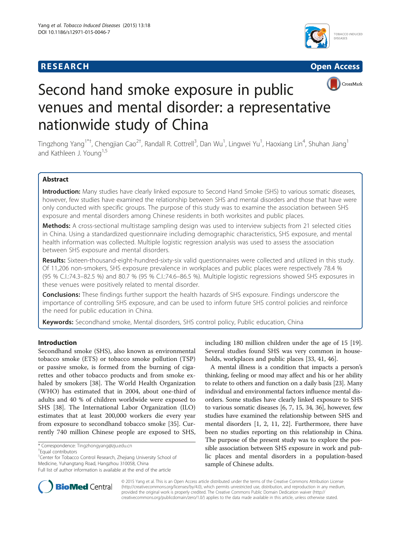## **RESEARCH RESEARCH** *CHECKER CHECKER CHECKER CHECKER CHECKER CHECKER CHECKER CHECKER CHECKER CHECKER CHECKER*







# Second hand smoke exposure in public venues and mental disorder: a representative nationwide study of China

Tingzhong Yang<sup>1\*†</sup>, Chengjian Cao<sup>2†</sup>, Randall R. Cottrell<sup>3</sup>, Dan Wu<sup>1</sup>, Lingwei Yu<sup>1</sup>, Haoxiang Lin<sup>4</sup>, Shuhan Jiang<sup>1</sup> and Kathleen J. Young<sup>1,5</sup>

## Abstract

Introduction: Many studies have clearly linked exposure to Second Hand Smoke (SHS) to various somatic diseases, however, few studies have examined the relationship between SHS and mental disorders and those that have were only conducted with specific groups. The purpose of this study was to examine the association between SHS exposure and mental disorders among Chinese residents in both worksites and public places.

Methods: A cross-sectional multistage sampling design was used to interview subjects from 21 selected cities in China. Using a standardized questionnaire including demographic characteristics, SHS exposure, and mental health information was collected. Multiple logistic regression analysis was used to assess the association between SHS exposure and mental disorders.

Results: Sixteen-thousand-eight-hundred-sixty-six valid questionnaires were collected and utilized in this study. Of 11,206 non-smokers, SHS exposure prevalence in workplaces and public places were respectively 78.4 % (95 % C.I.:74.3–82.5 %) and 80.7 % (95 % C.I.:74.6–86.5 %). Multiple logistic regressions showed SHS exposures in these venues were positively related to mental disorder.

**Conclusions:** These findings further support the health hazards of SHS exposure. Findings underscore the importance of controlling SHS exposure, and can be used to inform future SHS control policies and reinforce the need for public education in China.

Keywords: Secondhand smoke, Mental disorders, SHS control policy, Public education, China

## Introduction

Secondhand smoke (SHS), also known as environmental tobacco smoke (ETS) or tobacco smoke pollution (TSP) or passive smoke, is formed from the burning of cigarettes and other tobacco products and from smoke exhaled by smokers [[38](#page-7-0)]. The World Health Organization (WHO) has estimated that in 2004, about one-third of adults and 40 % of children worldwide were exposed to SHS [\[38\]](#page-7-0). The International Labor Organization (ILO) estimates that at least 200,000 workers die every year from exposure to secondhand tobacco smoke [[35\]](#page-6-0). Currently 740 million Chinese people are exposed to SHS,

<sup>1</sup>Center for Tobacco Control Research, Zhejiang University School of Medicine, Yuhangtang Road, Hangzhou 310058, China



A mental illness is a condition that impacts a person's thinking, feeling or mood may affect and his or her ability to relate to others and function on a daily basis [\[23\]](#page-6-0). Many individual and environmental factors influence mental disorders. Some studies have clearly linked exposure to SHS to various somatic diseases [\[6](#page-6-0), [7](#page-6-0), [15, 34, 36](#page-6-0)], however, few studies have examined the relationship between SHS and mental disorders [[1](#page-6-0), [2, 11, 22\]](#page-6-0). Furthermore, there have been no studies reporting on this relationship in China. The purpose of the present study was to explore the possible association between SHS exposure in work and public places and mental disorders in a population-based sample of Chinese adults.



© 2015 Yang et al. This is an Open Access article distributed under the terms of the Creative Commons Attribution License [\(http://creativecommons.org/licenses/by/4.0\)](http://creativecommons.org/licenses/by/4.0), which permits unrestricted use, distribution, and reproduction in any medium, provided the original work is properly credited. The Creative Commons Public Domain Dedication waiver [\(http://](http://creativecommons.org/publicdomain/zero/1.0/) [creativecommons.org/publicdomain/zero/1.0/\)](http://creativecommons.org/publicdomain/zero/1.0/) applies to the data made available in this article, unless otherwise stated.

<sup>\*</sup> Correspondence: [Tingzhongyang@zju.edu.cn](mailto:Tingzhongyang@zju.edu.cn) †

Equal contributors

Full list of author information is available at the end of the article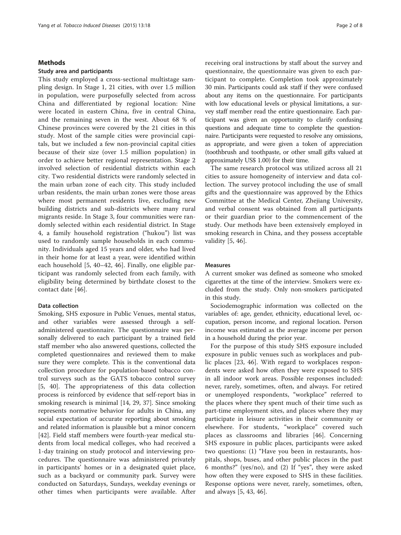#### **Methods**

## Study area and participants

This study employed a cross-sectional multistage sampling design. In Stage 1, 21 cities, with over 1.5 million in population, were purposefully selected from across China and differentiated by regional location: Nine were located in eastern China, five in central China, and the remaining seven in the west. About 68 % of Chinese provinces were covered by the 21 cities in this study. Most of the sample cities were provincial capitals, but we included a few non-provincial capital cities because of their size (over 1.5 million population) in order to achieve better regional representation. Stage 2 involved selection of residential districts within each city. Two residential districts were randomly selected in the main urban zone of each city. This study included urban residents, the main urban zones were those areas where most permanent residents live, excluding new building districts and sub-districts where many rural migrants reside. In Stage 3, four communities were randomly selected within each residential district. In Stage 4, a family household registration ("hukou") list was used to randomly sample households in each community. Individuals aged 15 years and older, who had lived in their home for at least a year, were identified within each household [\[5](#page-6-0), [40](#page-7-0)–[42, 46](#page-7-0)]. Finally, one eligible participant was randomly selected from each family, with eligibility being determined by birthdate closest to the contact date [[46](#page-7-0)].

## Data collection

Smoking, SHS exposure in Public Venues, mental status, and other variables were assessed through a selfadministered questionnaire. The questionnaire was personally delivered to each participant by a trained field staff member who also answered questions, collected the completed questionnaires and reviewed them to make sure they were complete. This is the conventional data collection procedure for population-based tobacco control surveys such as the GATS tobacco control survey [[5,](#page-6-0) [40\]](#page-7-0). The appropriateness of this data collection process is reinforced by evidence that self-report bias in smoking research is minimal [[14, 29, 37](#page-6-0)]. Since smoking represents normative behavior for adults in China, any social expectation of accurate reporting about smoking and related information is plausible but a minor concern [[42\]](#page-7-0). Field staff members were fourth-year medical students from local medical colleges, who had received a 1-day training on study protocol and interviewing procedures. The questionnaire was administered privately in participants' homes or in a designated quiet place, such as a backyard or community park. Survey were conducted on Saturdays, Sundays, weekday evenings or other times when participants were available. After receiving oral instructions by staff about the survey and questionnaire, the questionnaire was given to each participant to complete. Completion took approximately 30 min. Participants could ask staff if they were confused about any items on the questionnaire. For participants with low educational levels or physical limitations, a survey staff member read the entire questionnaire. Each participant was given an opportunity to clarify confusing questions and adequate time to complete the questionnaire. Participants were requested to resolve any omissions, as appropriate, and were given a token of appreciation (toothbrush and toothpaste, or other small gifts valued at approximately US\$ 1.00) for their time.

The same research protocol was utilized across all 21 cities to assure homogeneity of interview and data collection. The survey protocol including the use of small gifts and the questionnaire was approved by the Ethics Committee at the Medical Center, Zhejiang University, and verbal consent was obtained from all participants or their guardian prior to the commencement of the study. Our methods have been extensively employed in smoking research in China, and they possess acceptable validity [[5,](#page-6-0) [46](#page-7-0)].

#### Measures

A current smoker was defined as someone who smoked cigarettes at the time of the interview. Smokers were excluded from the study. Only non-smokers participated in this study.

Sociodemographic information was collected on the variables of: age, gender, ethnicity, educational level, occupation, person income, and regional location. Person income was estimated as the average income per person in a household during the prior year.

For the purpose of this study SHS exposure included exposure in public venues such as workplaces and public places [\[23](#page-6-0), [46\]](#page-7-0). With regard to workplaces respondents were asked how often they were exposed to SHS in all indoor work areas. Possible responses included: never, rarely, sometimes, often, and always. For retired or unemployed respondents, "workplace" referred to the places where they spent much of their time such as part-time employment sites, and places where they may participate in leisure activities in their community or elsewhere. For students, "workplace" covered such places as classrooms and libraries [\[46](#page-7-0)]. Concerning SHS exposure in public places, participants were asked two questions: (1) "Have you been in restaurants, hospitals, shops, buses, and other public places in the past 6 months?" (yes/no), and (2) If "yes", they were asked how often they were exposed to SHS in these facilities. Response options were never, rarely, sometimes, often, and always [[5](#page-6-0), [43](#page-7-0), [46](#page-7-0)].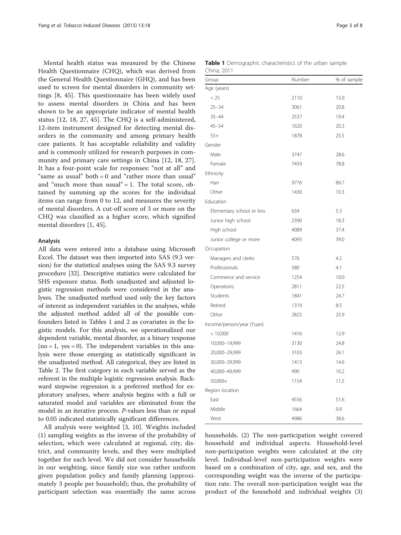<span id="page-2-0"></span>Mental health status was measured by the Chinese Health Questionnaire (CHQ), which was derived from the General Health Questionnaire (GHQ), and has been used to screen for mental disorders in community settings [\[8](#page-6-0), [45\]](#page-7-0). This questionnaire has been widely used to assess mental disorders in China and has been shown to be an appropriate indicator of mental health status [[12, 18](#page-6-0), [27,](#page-6-0) [45](#page-7-0)]. The CHQ is a self-administered, 12-item instrument designed for detecting mental disorders in the community and among primary health care patients. It has acceptable reliability and validity and is commonly utilized for research purposes in community and primary care settings in China [[12, 18](#page-6-0), [27](#page-6-0)]. It has a four-point scale for responses: "not at all" and "same as usual" both = 0 and "rather more than usual" and "much more than usual"  $= 1$ . The total score, obtained by summing up the scores for the individual items can range from 0 to 12, and measures the severity of mental disorders. A cut-off score of 3 or more on the CHQ was classified as a higher score, which signified mental disorders [[1,](#page-6-0) [45\]](#page-7-0).

#### Analysis

All data were entered into a database using Microsoft Excel. The dataset was then imported into SAS (9.3 version) for the statistical analyses using the SAS 9.3 survey procedure [[32\]](#page-6-0). Descriptive statistics were calculated for SHS exposure status. Both unadjusted and adjusted logistic regression methods were considered in the analyses. The unadjusted method used only the key factors of interest as independent variables in the analyses, while the adjusted method added all of the possible confounders listed in Tables 1 and [2](#page-3-0) as covariates in the logistic models. For this analysis, we operationalized our dependent variable, mental disorder, as a binary response  $(no = 1, yes = 0)$ . The independent variables in this analysis were those emerging as statistically significant in the unadjusted method. All categorical, they are listed in Table [2.](#page-3-0) The first category in each variable served as the referent in the multiple logistic regression analysis. Backward stepwise regression is a preferred method for exploratory analyses, where analysis begins with a full or saturated model and variables are eliminated from the model in an iterative process. P-values less than or equal to 0.05 indicated statistically significant differences.

All analysis were weighted [\[3](#page-6-0), [10\]](#page-6-0). Weights included (1) sampling weights as the inverse of the probability of selection, which were calculated at regional, city, district, and community levels, and they were multiplied together for each level. We did not consider households in our weighting, since family size was rather uniform given population policy and family planning (approximately 3 people per household); thus, the probability of participant selection was essentially the same across

|             |  | <b>Table 1</b> Demographic characteristics of the urban sample |  |  |
|-------------|--|----------------------------------------------------------------|--|--|
| China, 2011 |  |                                                                |  |  |

| Group                     | Number | % of sample |
|---------------------------|--------|-------------|
| Age (years)               |        |             |
| $<$ 25                    | 2110   | 15.0        |
| $25 - 34$                 | 3061   | 20.8        |
| $35 - 44$                 | 2537   | 19.4        |
| $45 - 54$                 | 1620   | 20.3        |
| $55+$                     | 1878   | 25.5        |
| Gender                    |        |             |
| Male                      | 3747   | 28.6        |
| Female                    | 7459   | 78.8        |
| Ethnicity                 |        |             |
| Han                       | 9776   | 89.7        |
| Other                     | 1430   | 10.3        |
| Education                 |        |             |
| Elementary school or less | 634    | 5.3         |
| Junior high school        | 2390   | 18.3        |
| High school               | 4089   | 37.4        |
| Junior college or more    | 4093   | 39.0        |
| Occupation                |        |             |
| Managers and clerks       | 576    | 4.2         |
| Professionals             | 580    | 4.1         |
| Commerce and service      | 1254   | 10.0        |
| Operations                | 2811   | 22.5        |
| Students                  | 1841   | 24.7        |
| Retired                   | 1319   | 8.5         |
| Other                     | 2825   | 25.9        |
| Income/person/year (Yuan) |        |             |
| < 10,000                  | 1416   | 12.9        |
| 10,000-19,999             | 3130   | 24.8        |
| 20,000-29,999             | 3103   | 26.1        |
| 30,000-39,999             | 1413   | 14.6        |
| 40,000-49,999             | 990    | 10.2        |
| $50,000+$                 | 1154   | 11.5        |
| Region location           |        |             |
| East                      | 4556   | 51.6        |
| Middle                    | 1664   | 9.9         |
| West                      | 4986   | 38.6        |

households. (2) The non-participation weight covered household and individual aspects. Household-level non-participation weights were calculated at the city level. Individual-level non-participation weights were based on a combination of city, age, and sex, and the corresponding weight was the inverse of the participation rate. The overall non-participation weight was the product of the household and individual weights (3)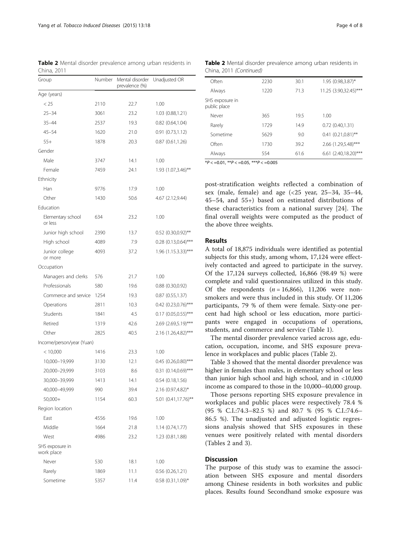<span id="page-3-0"></span>Table 2 Mental disorder prevalence among urban residents in China, 2011

| Group                         | Number | Mental disorder<br>prevalence (%) | Unadjusted OR           |
|-------------------------------|--------|-----------------------------------|-------------------------|
| Age (years)                   |        |                                   |                         |
| < 25                          | 2110   | 22.7                              | 1.00                    |
| $25 - 34$                     | 3061   | 23.2                              | 1.03 (0.88,1.21)        |
| $35 - 44$                     | 2537   | 19.3                              | $0.82$ $(0.64, 1.04)$   |
| $45 - 54$                     | 1620   | 21.0                              | 0.91(0.73, 1.12)        |
| $55+$                         | 1878   | 20.3                              | 0.87(0.61, 1.26)        |
| Gender                        |        |                                   |                         |
| Male                          | 3747   | 14.1                              | 1.00                    |
| Female                        | 7459   | 24.1                              | 1.93 (1.07,3.46)**      |
| Ethnicity                     |        |                                   |                         |
| Han                           | 9776   | 17.9                              | 1.00                    |
| Other                         | 1430   | 50.6                              | 4.67 (2.12,9.44)        |
| Education                     |        |                                   |                         |
| Elementary school<br>or less  | 634    | 23.2                              | 1.00                    |
| Junior high school            | 2390   | 13.7                              | $0.52$ (0.30,0.92)**    |
| High school                   | 4089   | 7.9                               | $0.28$ (0.13,0.64)***   |
| Junior college<br>or more     | 4093   | 37.2                              | 1.96 (1.15.3.33)***     |
| Occupation                    |        |                                   |                         |
| Managers and clerks           | 576    | 21.7                              | 1.00                    |
| Professionals                 | 580    | 19.6                              | 0.88(0.30, 0.92)        |
| Commerce and service          | 1254   | 19.3                              | $0.87$ $(0.55, 1.37)$   |
| Operations                    | 2811   | 10.3                              | $0.42$ (0.23,0.76)***   |
| Students                      | 1841   | 4.5                               | $0.17$ (0.05,0.55)***   |
| Retired                       | 1319   | 42.6                              | 2.69 (2.69,5.19)***     |
| Other                         | 2825   | 40.5                              | 2.16 (1.26,4.82)***     |
| Income/person/year (Yuan)     |        |                                   |                         |
| < 10,000                      | 1416   | 23.3                              | 1.00                    |
| 10,000-19,999                 | 3130   | 12.1                              | $0.45$ (0.26,0.80)***   |
| 20,000-29,999                 | 3103   | 8.6                               | $0.31$ (0.14,0.69)***   |
| 30,000-39,999                 | 1413   | 14.1                              | 0.54 (0.18,1.56)        |
| 40,000-49,999                 | 990    | 39.4                              | 2.16 (0.97,4.82)*       |
| $50,000+$                     | 1154   | 60.3                              | 5.01 (0.41,17.76)**     |
| Region location               |        |                                   |                         |
| East                          | 4556   | 19.6                              | 1.00                    |
| Middle                        | 1664   | 21.8                              | 1.14(0.74, 1.77)        |
| West                          | 4986   | 23.2                              | 1.23 (0.81,1.88)        |
| SHS exposure in<br>work place |        |                                   |                         |
| Never                         | 530    | 18.1                              | 1.00                    |
| Rarely                        | 1869   | 11.1                              | 0.56(0.26, 1.21)        |
| Sometime                      | 5357   | 11.4                              | $0.58$ $(0.31, 1.09)^*$ |

Table 2 Mental disorder prevalence among urban residents in China, 2011 (Continued)

| Often                           | 2230 | 30.1 | 1.95 (0.98,3.87)*        |
|---------------------------------|------|------|--------------------------|
| Always                          | 1220 | 71.3 | 11.25 (3.90,32.45)***    |
| SHS exposure in<br>public place |      |      |                          |
| Never                           | 365  | 19.5 | 1.00                     |
| Rarely                          | 1729 | 14.9 | $0.72$ $(0.40, 1.31)$    |
| Sometime                        | 5629 | 9.0  | $0.41$ $(0.21, 0.81)$ ** |
| Often                           | 1730 | 39.2 | 2.66 (1.29,5.48)***      |
| Always                          | 554  | 61.6 | $6.61$ (2.40,18.20)***   |

 $*P < 0.01$ ,  $*P < 0.05$ ,  $*+P < 0.005$ 

post-stratification weights reflected a combination of sex (male, female) and age (<25 year, 25–34, 35–44, 45–54, and 55+) based on estimated distributions of these characteristics from a national survey [\[24](#page-6-0)]. The final overall weights were computed as the product of the above three weights.

#### Results

A total of 18,875 individuals were identified as potential subjects for this study, among whom, 17,124 were effectively contacted and agreed to participate in the survey. Of the 17,124 surveys collected, 16,866 (98.49 %) were complete and valid questionnaires utilized in this study. Of the respondents  $(n = 16,866)$ , 11,206 were nonsmokers and were thus included in this study. Of 11,206 participants, 79 % of them were female. Sixty-one percent had high school or less education, more participants were engaged in occupations of operations, students, and commerce and service (Table [1](#page-2-0)).

The mental disorder prevalence varied across age, education, occupation, income, and SHS exposure prevalence in workplaces and public places (Table 2).

Table [3](#page-4-0) showed that the mental disorder prevalence was higher in females than males, in elementary school or less than junior high school and high school, and in <10,000 income as compared to those in the 10,000–40,000 group.

Those persons reporting SHS exposure prevalence in workplaces and public places were respectively 78.4 % (95 % C.I.:74.3–82.5 %) and 80.7 % (95 % C.I.:74.6– 86.5 %). The unadjusted and adjusted logistic regressions analysis showed that SHS exposures in these venues were positively related with mental disorders (Tables 2 and [3\)](#page-4-0).

## **Discussion**

The purpose of this study was to examine the association between SHS exposure and mental disorders among Chinese residents in both worksites and public places. Results found Secondhand smoke exposure was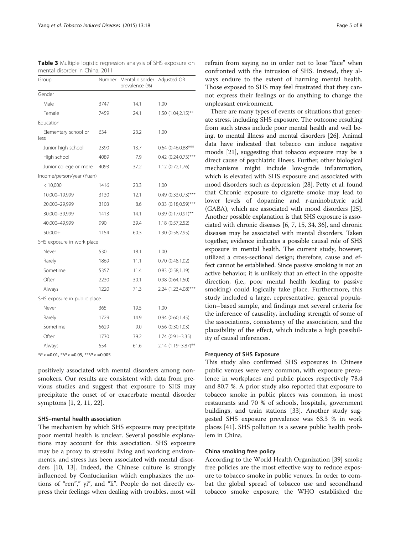| Group                        | Number | Mental disorder<br>prevalence (%) | Adjusted OR           |  |
|------------------------------|--------|-----------------------------------|-----------------------|--|
| Gender                       |        |                                   |                       |  |
| Male                         | 3747   | 14.1                              | 1.00                  |  |
| Female                       | 7459   | 24.1                              | 1.50 (1.04,2.15)**    |  |
| Education                    |        |                                   |                       |  |
| Elementary school or<br>less | 634    | 23.2                              | 1.00                  |  |
| Junior high school           | 2390   | 13.7                              | 0.64 (0.46,0.88***    |  |
| High school                  | 4089   | 7.9                               | $0.42$ (0.24,0.73)*** |  |
| Junior college or more       | 4093   | 37.2                              | 1.12 (0.72,1.76)      |  |
| Income/person/year (Yuan)    |        |                                   |                       |  |
| < 10,000                     | 1416   | 23.3                              | 1.00                  |  |
| 10,000-19,999                | 3130   | 12.1                              | 0.49 (0.33,0.73)***   |  |
| 20,000-29,999                | 3103   | 8.6                               | $0.33$ (0.18,0.59)*** |  |
| 30,000-39,999                | 1413   | 14.1                              | $0.39(0.17,0.91)$ **  |  |
| 40,000-49,999                | 990    | 39.4                              | 1.18 (0.57,2.52)      |  |
| $50,000+$                    | 1154   | 60.3                              | 1.30 (0.58,2.95)      |  |
| SHS exposure in work place   |        |                                   |                       |  |
| Never                        | 530    | 18.1                              | 1.00                  |  |
| Rarely                       | 1869   | 11.1                              | 0.70(0.48, 1.02)      |  |
| Sometime                     | 5357   | 11.4                              | $0.83$ $(0.58, 1.19)$ |  |
| Often                        | 2230   | 30.1                              | 0.98(0.64, 1.50)      |  |
| Always                       | 1220   | 71.3                              | 2.24 (1.23,4.08)***   |  |
| SHS exposure in public place |        |                                   |                       |  |
| Never                        | 365    | 19.5                              | 1.00                  |  |
| Rarely                       | 1729   | 14.9                              | 0.94(0.60, 1.45)      |  |
| Sometime                     | 5629   | 9.0                               | 0.56 (0.30,1.03)      |  |
| Often                        | 1730   | 39.2                              | $1.74(0.91 - 3.35)$   |  |
| Always                       | 554    | 61.6                              | 2.14 (1.19-3.87)**    |  |

<span id="page-4-0"></span>Table 3 Multiple logistic regression analysis of SHS exposure on mental disorder in China, 2011

 $*P < 0.01$ ,  $*P < 0.05$ ,  $***P < 0.005$ 

positively associated with mental disorders among nonsmokers. Our results are consistent with data from previous studies and suggest that exposure to SHS may precipitate the onset of or exacerbate mental disorder symptoms [[1, 2, 11](#page-6-0), [22](#page-6-0)].

#### SHS–mental health association

The mechanism by which SHS exposure may precipitate poor mental health is unclear. Several possible explanations may account for this association. SHS exposure may be a proxy to stressful living and working environments, and stress has been associated with mental disorders [\[10](#page-6-0), [13](#page-6-0)]. Indeed, the Chinese culture is strongly influenced by Confucianism which emphasizes the notions of "ren"," yi", and "li". People do not directly express their feelings when dealing with troubles, most will refrain from saying no in order not to lose "face" when confronted with the intrusion of SHS. Instead, they always endure to the extent of harming mental health. Those exposed to SHS may feel frustrated that they cannot express their feelings or do anything to change the unpleasant environment.

There are many types of events or situations that generate stress, including SHS exposure. The outcome resulting from such stress include poor mental health and well being, to mental illness and mental disorders [\[26\]](#page-6-0). Animal data have indicated that tobacco can induce negative moods [\[21\]](#page-6-0), suggesting that tobacco exposure may be a direct cause of psychiatric illness. Further, other biological mechanisms might include low-grade inflammation, which is elevated with SHS exposure and associated with mood disorders such as depression [[28](#page-6-0)]. Petty et al. found that Chronic exposure to cigarette smoke may lead to lower levels of dopamine and r-aminobutyric acid (GABA), which are associated with mood disorders [[25](#page-6-0)]. Another possible explanation is that SHS exposure is associated with chronic diseases [\[6](#page-6-0), [7, 15, 34](#page-6-0), [36](#page-6-0)], and chronic diseases may be associated with mental disorders. Taken together, evidence indicates a possible causal role of SHS exposure in mental health. The current study, however, utilized a cross-sectional design; therefore, cause and effect cannot be established. Since passive smoking is not an active behavior, it is unlikely that an effect in the opposite direction, (i.e., poor mental health leading to passive smoking) could logically take place. Furthermore, this study included a large, representative, general population–based sample, and findings met several criteria for the inference of causality, including strength of some of the associations, consistency of the association, and the plausibility of the effect, which indicate a high possibility of causal inferences.

#### Frequency of SHS Exposure

This study also confirmed SHS exposures in Chinese public venues were very common, with exposure prevalence in workplaces and public places respectively 78.4 and 80.7 %. A prior study also reported that exposure to tobacco smoke in public places was common, in most restaurants and 70 % of schools, hospitals, government buildings, and train stations [\[33](#page-6-0)]. Another study suggested SHS exposure prevalence was 63.3 % in work places [[41](#page-7-0)]. SHS pollution is a severe public health problem in China.

## China smoking free policy

According to the World Health Organization [\[39](#page-7-0)] smoke free policies are the most effective way to reduce exposure to tobacco smoke in public venues. In order to combat the global spread of tobacco use and secondhand tobacco smoke exposure, the WHO established the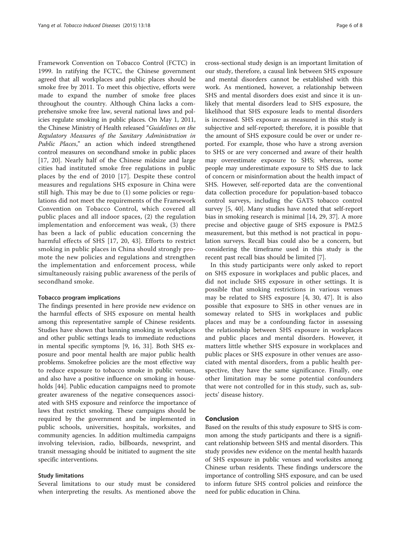Framework Convention on Tobacco Control (FCTC) in 1999. In ratifying the FCTC, the Chinese government agreed that all workplaces and public places should be smoke free by 2011. To meet this objective, efforts were made to expand the number of smoke free places throughout the country. Although China lacks a comprehensive smoke free law, several national laws and policies regulate smoking in public places. On May 1, 2011, the Chinese Ministry of Health released "Guidelines on the Regulatory Measures of the Sanitary Administration in Public Places," an action which indeed strengthened control measures on secondhand smoke in public places [[17, 20](#page-6-0)]. Nearly half of the Chinese midsize and large cities had instituted smoke free regulations in public places by the end of 2010 [[17\]](#page-6-0). Despite these control measures and regulations SHS exposure in China were still high. This may be due to (1) some policies or regulations did not meet the requirements of the Framework Convention on Tobacco Control, which covered all public places and all indoor spaces, (2) the regulation implementation and enforcement was weak, (3) there has been a lack of public education concerning the harmful effects of SHS [[17](#page-6-0), [20,](#page-6-0) [43](#page-7-0)]. Efforts to restrict smoking in public places in China should strongly promote the new policies and regulations and strengthen the implementation and enforcement process, while simultaneously raising public awareness of the perils of secondhand smoke.

#### Tobacco program implications

The findings presented in here provide new evidence on the harmful effects of SHS exposure on mental health among this representative sample of Chinese residents. Studies have shown that banning smoking in workplaces and other public settings leads to immediate reductions in mental specific symptoms [\[9](#page-6-0), [16](#page-6-0), [31\]](#page-6-0). Both SHS exposure and poor mental health are major public health problems. Smokefree policies are the most effective way to reduce exposure to tobacco smoke in public venues, and also have a positive influence on smoking in households [\[44\]](#page-7-0). Public education campaigns need to promote greater awareness of the negative consequences associated with SHS exposure and reinforce the importance of laws that restrict smoking. These campaigns should be required by the government and be implemented in public schools, universities, hospitals, worksites, and community agencies. In addition multimedia campaigns involving television, radio, billboards, newsprint, and transit messaging should be initiated to augment the site specific interventions.

#### Study limitations

Several limitations to our study must be considered when interpreting the results. As mentioned above the

cross-sectional study design is an important limitation of our study, therefore, a causal link between SHS exposure and mental disorders cannot be established with this work. As mentioned, however, a relationship between SHS and mental disorders does exist and since it is unlikely that mental disorders lead to SHS exposure, the likelihood that SHS exposure leads to mental disorders is increased. SHS exposure as measured in this study is subjective and self-reported; therefore, it is possible that the amount of SHS exposure could be over or under reported. For example, those who have a strong aversion to SHS or are very concerned and aware of their health may overestimate exposure to SHS; whereas, some people may underestimate exposure to SHS due to lack of concern or misinformation about the health impact of SHS. However, self-reported data are the conventional data collection procedure for population-based tobacco control surveys, including the GATS tobacco control survey [\[5,](#page-6-0) [40\]](#page-7-0). Many studies have noted that self-report bias in smoking research is minimal [[14, 29, 37\]](#page-6-0). A more precise and objective gauge of SHS exposure is PM2.5 measurement, but this method is not practical in population surveys. Recall bias could also be a concern, but considering the timeframe used in this study is the recent past recall bias should be limited [\[7](#page-6-0)].

In this study participants were only asked to report on SHS exposure in workplaces and public places, and did not include SHS exposure in other settings. It is possible that smoking restrictions in various venues may be related to SHS exposure [[4, 30](#page-6-0), [47\]](#page-7-0). It is also possible that exposure to SHS in other venues are in someway related to SHS in workplaces and public places and may be a confounding factor in assessing the relationship between SHS exposure in workplaces and public places and mental disorders. However, it matters little whether SHS exposure in workplaces and public places or SHS exposure in other venues are associated with mental disorders, from a public health perspective, they have the same significance. Finally, one other limitation may be some potential confounders that were not controlled for in this study, such as, subjects' disease history.

## Conclusion

Based on the results of this study exposure to SHS is common among the study participants and there is a significant relationship between SHS and mental disorders. This study provides new evidence on the mental health hazards of SHS exposure in public venues and worksites among Chinese urban residents. These findings underscore the importance of controlling SHS exposure, and can be used to inform future SHS control policies and reinforce the need for public education in China.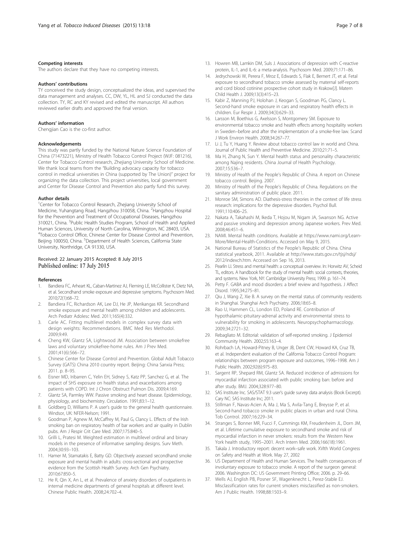#### <span id="page-6-0"></span>Competing interests

The authors declare that they have no competing interests.

#### Authors' contributions

TY conceived the study design, conceptualized the ideas, and supervised the data management and analyses. CC, DW, YL, HL and SJ conducted the data collection. TY, RC and KY revised and edited the manuscript. All authors reviewed earlier drafts and approved the final version.

#### Authors' information

Chengjian Cao is the co-first author.

#### Acknowledgements

This study was partly funded by the National Nature Science Foundation of China (71473221), Ministry of Health Tobacco Control Project (WJF: 081216), Center for Tobacco Control research, Zhejiang University School of Medicine. We thank local teams from the "Building advocacy capacity for tobacco control in medical universities in China (supported by The Union)" project for organizing the data collection. This project universities, local government and Center for Disease Control and Prevention also partly fund this survey.

#### Author details

<sup>1</sup>Center for Tobacco Control Research, Zhejiang University School of Medicine, Yuhangtang Road, Hangzhou 310058, China. <sup>2</sup>Hangzhou Hospital for the Prevention and Treatment of Occupational Diseases, Hangzhou 310021, China. <sup>3</sup>Public Health Studies Program, School of Health and Applied Human Sciences, University of North Carolina, Wilmington, NC 28403, USA. 4 Tobacco Control Office, Chinese Center for Disease Control and Prevention, Beijing 100050, China. <sup>5</sup>Department of Health Sciences, California State University, Northridge, CA 91330, USA.

#### Received: 22 January 2015 Accepted: 8 July 2015 Published online: 17 July 2015

#### References

- 1. Bandiera FC, Arheart KL, Caban-Martinez AJ, Fleming LE, McCollister K, Dietz NA, et al. Secondhand smoke exposure and depressive symptoms. Psychosom Med. 2010;72(1):68–72.
- 2. Bandiera FC, Richardson AK, Lee DJ, He JP, Merikangas KR. Secondhand smoke exposure and mental health among children and adolescents. Arch Pediatr Adolesc Med. 2011;165(4):332.
- 3. Carle AC. Fitting multilevel models in complex survey data with design weights: Recommendations. BMC Med Res Methodol. 2009;9:49.
- 4. Cheng KW, Glantz SA, Lightwood JM. Association between smokefree laws and voluntary smokefree-home rules. Am J Prev Med. 2001;41(6):566–72.
- 5. Chinese Center for Disease Control and Prevention. Global Adult Tobacco Survey (GATS) China 2010 country report. Beijing: China Sanxia Press; 2011. p. 8–95.
- 6. Eisner MD, Iribarren C, Yelin EH, Sidney S, Katz PP, Sanchez G, et al. The impact of SHS exposure on health status and exacerbations among patients with COPD. Int J Chron Obstruct Pulmon Dis. 2009;4:169.
- Glantz SA, Parmley WW. Passive smoking and heart disease. Epidemiology, physiology, and biochemistry. Circulation. 1991;83:1–12.
- 8. Goldberg D, Williams P. A user's guide to the general health questionnaire. Windsor, UK: NFER-Nelson; 1991.
- 9. Goodman P, Agnew M, McCaffrey M, Paul G, Clancy L. Effects of the Irish smoking ban on respiratory health of bar workers and air quality in Dublin pubs. Am J Respir Crit Care Med. 2007;175:840–5.
- 10. Grilli L, Pratesi M. Weighted estimation in multilevel ordinal and binary models in the presence of informative sampling designs. Surv Meth. 2004;30:93–103.
- 11. Hamer M, Stamatakis E, Batty GD. Objectively assessed secondhand smoke exposure and mental health in adults: cross-sectional and prospective evidence from the Scottish Health Survey. Arch Gen Psychiatry. 2010;67:850–5.
- 12. He R, Qin X, An L, et al. Prevalence of anxiety disorders of outpatients in internal medicine departments of general hospitals at different level. Chinese Public Health. 2008;24:702–4.
- 13. Howren MB, Lamkin DM, Suls J. Associations of depression with C-reactive protein, IL-1, and IL-6: a meta-analysis. Psychosom Med. 2009;71:171–86.
- 14. Jedrychowski W, Perera F, Mroz E, Edwards S, Flak E, Bernert JT, et al. Fetal exposure to secondhand tobacco smoke assessed by maternal self-reports and cord blood cotinine: prospective cohort study in Krakow[J]. Matern Child Health J. 2009;13(3):415–23.
- 15. Kabir Z, Manning PJ, Holohan J, Keogan S, Goodman PG, Clancy L. Second-hand smoke exposure in cars and respiratory health effects in children. Eur Respir J. 2009;34(3):629–33.
- 16. Larsson M, Boethius G, Axelsson S, Montgomery SM. Exposure to environmental tobacco smoke and health effects among hospitality workers in Sweden–before and after the implementation of a smoke-free law. Scand J Work Environ Health. 2008;34:267–77.
- 17. Li J, Tu Y, Huang Y. Review about tobacco control law in world and China. Journal of Public Health and Preventive Medicine. 2010;21:71–5.
- 18. Ma H, Zhang N, Sun Y. Mental health status and personality characteristic among Najing residents. China Journal of Health Psychology. 2007;15:536–7.
- 19. Ministry of Health of the People's Republic of China. A report on Chinese tobacco control. Beijing. 2007.
- 20. Ministry of Health of the People's Republic of China. Regulations on the sanitary administration of public place. 2011.
- 21. Monroe SM, Simons AD. Diathesis-stress theories in the context of life stress research: implications for the depressive disorders. Psychol Bull. 1991;110:406–25.
- 22. Nakata A, Takahashi M, Ikeda T, Hojou M, Nigam JA, Swanson NG. Active and passive smoking and depression among Japanese workers. Prev Med. 2008;46:451–6.
- 23. NAMI. Mental health conditions. Available at [https://www.nami.org/Learn-](https://www.nami.org/Learn-More/Mental-Health-Conditions)[More/Mental-Health-Conditions](https://www.nami.org/Learn-More/Mental-Health-Conditions). Accessed on May 9, 2015.
- 24. National Bureau of Statistics of the People's Republic of China. China statistical yearbook, 2011. Available at [http://www.stats.gov.cn/tjsj/ndsj/](http://www.stats.gov.cn/tjsj/ndsj/2012/indexch.htm) [2012/indexch.htm.](http://www.stats.gov.cn/tjsj/ndsj/2012/indexch.htm) Accessed on Sep 16, 2013.
- 25. Pearlin LI. Stress and mental health: a conceptual overview. In: Horwitz AV, Scheid TL, editors. A handbook for the study of mental health: social contexts, theories, and systems. New York, NY: Cambridge University Press; 1999. p. 161–74.
- 26. Petty F. GABA and mood disorders: a brief review and hypothesis. J Affect Disord. 1995;34:275–81.
- 27. Qiu J, Wang Z, Xie B. A survey on the mental status of community residents in Shanghai. Shanghai Arch Psychiatry. 2006;18:65–8.
- 28. Rao U, Hammen CL, London ED, Poland RE. Contribution of hypothalamic-pituitary-adrenal activity and environmental stress to vulnerability for smoking in adolescents. Neuropsychopharmacology. 2009;34:2721–32.
- 29. Rebagliato M. Editorial: validation of self-reported smoking. J Epidemiol Community Health. 2002;55:163–4.
- 30. Rohrbach LA, Howard-Pitney B, Unger JB, Dent CW, Howard KA, Cruz TB, et al. Independent evaluation of the California Tobacco Control Program: relationships between program exposure and outcomes, 1996–1998. Am J Public Health. 2002;92(6):975–83.
- 31. Sargent RP, Shepard RM, Glantz SA. Reduced incidence of admissions for myocardial infarction associated with public smoking ban: before and after study. BMJ. 2004;328:977–80.
- 32. SAS Institute Inc. SAS/STAT 9.3 user's guide survey data analysis (Book Excerpt). Cary NC: SAS Institute Inc; 2011.
- 33. Stillman F, Navas-Acien A, Ma J, Ma S, Avila-Tang E, Breysse P, et al. Second-hand tobacco smoke in public places in urban and rural China. Tob Control. 2007;16:229–34.
- 34. Stranges S, Bonner MR, Fucci F, Cummings KM, Freudenheim JL, Dorn JM, et al. Lifetime cumulative exposure to secondhand smoke and risk of myocardial infarction in never smokers: results from the Western New York health study, 1995–2001. Arch Intern Med. 2006;166(18):1961.
- 35. Takala J. Introductory report: decent work–safe work. XVIth World Congress on Safety and Health at Work. May 27, 2002
- 36. US Department of Health and Human Services. The health consequences of involuntary exposure to tobacco smoke. A report of the surgeon general: 2006. Washington DC: US Government Printing Office; 2006. p. 29–66.
- 37. Wells AJ, English PB, Posner SF, Wagenknecht L, Perez-Stable EJ. Misclassification rates for current smokers misclassified as non-smokers. Am J Public Health. 1998;88:1503–9.